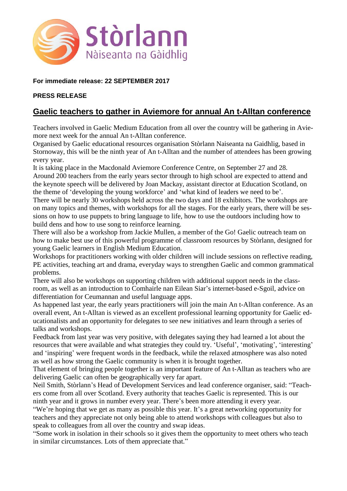

## **For immediate release: 22 SEPTEMBER 2017**

#### **PRESS RELEASE**

# **Gaelic teachers to gather in Aviemore for annual An t-Alltan conference**

Teachers involved in Gaelic Medium Education from all over the country will be gathering in Aviemore next week for the annual An t-Alltan conference.

Organised by Gaelic educational resources organisation Stòrlann Naiseanta na Gaidhlig, based in Stornoway, this will be the ninth year of An t-Alltan and the number of attendees has been growing every year.

It is taking place in the Macdonald Aviemore Conference Centre, on September 27 and 28. Around 200 teachers from the early years sector through to high school are expected to attend and the keynote speech will be delivered by Joan Mackay, assistant director at Education Scotland, on the theme of 'developing the young workforce' and 'what kind of leaders we need to be'.

There will be nearly 30 workshops held across the two days and 18 exhibitors. The workshops are on many topics and themes, with workshops for all the stages. For the early years, there will be sessions on how to use puppets to bring language to life, how to use the outdoors including how to build dens and how to use song to reinforce learning.

There will also be a workshop from Jackie Mullen, a member of the Go! Gaelic outreach team on how to make best use of this powerful programme of classroom resources by Stòrlann, designed for young Gaelic learners in English Medium Education.

Workshops for practitioners working with older children will include sessions on reflective reading, PE activities, teaching art and drama, everyday ways to strengthen Gaelic and common grammatical problems.

There will also be workshops on supporting children with additional support needs in the classroom, as well as an introduction to Comhairle nan Eilean Siar's internet-based e-Sgoil, advice on differentiation for Ceumannan and useful language apps.

As happened last year, the early years practitioners will join the main An t-Alltan conference. As an overall event, An t-Alltan is viewed as an excellent professional learning opportunity for Gaelic educationalists and an opportunity for delegates to see new initiatives and learn through a series of talks and workshops.

Feedback from last year was very positive, with delegates saying they had learned a lot about the resources that were available and what strategies they could try. 'Useful', 'motivating', 'interesting' and 'inspiring' were frequent words in the feedback, while the relaxed atmosphere was also noted as well as how strong the Gaelic community is when it is brought together.

That element of bringing people together is an important feature of An t-Alltan as teachers who are delivering Gaelic can often be geographically very far apart.

Neil Smith, Stòrlann's Head of Development Services and lead conference organiser, said: "Teachers come from all over Scotland. Every authority that teaches Gaelic is represented. This is our ninth year and it grows in number every year. There's been more attending it every year.

"We're hoping that we get as many as possible this year. It's a great networking opportunity for teachers and they appreciate not only being able to attend workshops with colleagues but also to speak to colleagues from all over the country and swap ideas.

"Some work in isolation in their schools so it gives them the opportunity to meet others who teach in similar circumstances. Lots of them appreciate that."